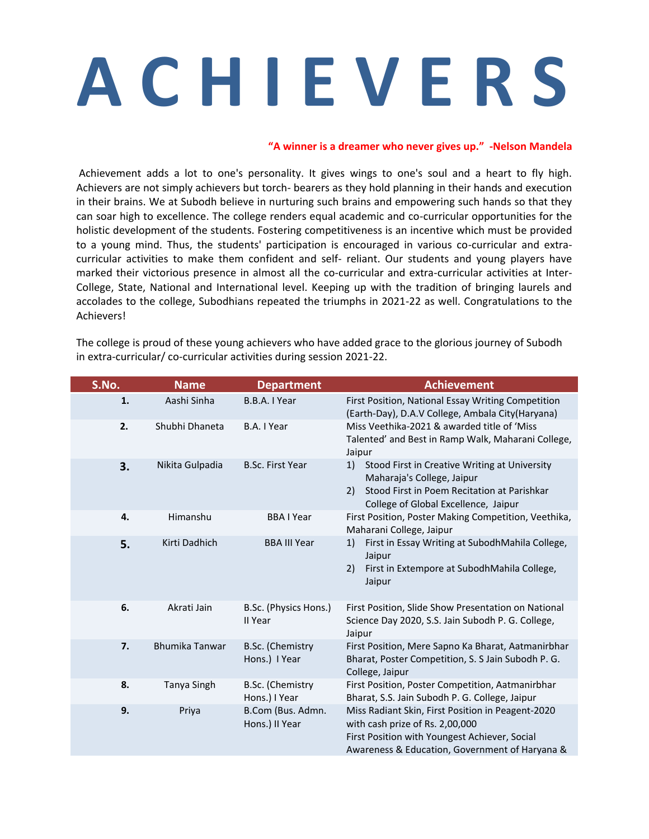## **A C H I E V E R S**

## **"A winner is a dreamer who never gives up." -Nelson Mandela**

Achievement adds a lot to one's personality. It gives wings to one's soul and a heart to fly high. Achievers are not simply achievers but torch- bearers as they hold planning in their hands and execution in their brains. We at Subodh believe in nurturing such brains and empowering such hands so that they can soar high to excellence. The college renders equal academic and co-curricular opportunities for the holistic development of the students. Fostering competitiveness is an incentive which must be provided to a young mind. Thus, the students' participation is encouraged in various co-curricular and extracurricular activities to make them confident and self- reliant. Our students and young players have marked their victorious presence in almost all the co-curricular and extra-curricular activities at Inter-College, State, National and International level. Keeping up with the tradition of bringing laurels and accolades to the college, Subodhians repeated the triumphs in 2021-22 as well. Congratulations to the Achievers!

| S.No. | <b>Name</b>           | <b>Department</b>                   | <b>Achievement</b>                                                                                                                                                                      |
|-------|-----------------------|-------------------------------------|-----------------------------------------------------------------------------------------------------------------------------------------------------------------------------------------|
| 1.    | Aashi Sinha           | B.B.A. I Year                       | First Position, National Essay Writing Competition<br>(Earth-Day), D.A.V College, Ambala City(Haryana)                                                                                  |
| 2.    | Shubhi Dhaneta        | B.A. I Year                         | Miss Veethika-2021 & awarded title of 'Miss<br>Talented' and Best in Ramp Walk, Maharani College,<br>Jaipur                                                                             |
| 3.    | Nikita Gulpadia       | <b>B.Sc. First Year</b>             | Stood First in Creative Writing at University<br>1)<br>Maharaja's College, Jaipur<br>Stood First in Poem Recitation at Parishkar<br>2)<br>College of Global Excellence, Jaipur          |
| 4.    | Himanshu              | <b>BBAIYear</b>                     | First Position, Poster Making Competition, Veethika,<br>Maharani College, Jaipur                                                                                                        |
| 5.    | Kirti Dadhich         | <b>BBA III Year</b>                 | First in Essay Writing at SubodhMahila College,<br>1)<br>Jaipur<br>First in Extempore at SubodhMahila College,<br>2)<br>Jaipur                                                          |
| 6.    | Akrati Jain           | B.Sc. (Physics Hons.)<br>II Year    | First Position, Slide Show Presentation on National<br>Science Day 2020, S.S. Jain Subodh P. G. College,<br>Jaipur                                                                      |
| 7.    | <b>Bhumika Tanwar</b> | B.Sc. (Chemistry<br>Hons.) I Year   | First Position, Mere Sapno Ka Bharat, Aatmanirbhar<br>Bharat, Poster Competition, S. S Jain Subodh P. G.<br>College, Jaipur                                                             |
| 8.    | Tanya Singh           | B.Sc. (Chemistry<br>Hons.) I Year   | First Position, Poster Competition, Aatmanirbhar<br>Bharat, S.S. Jain Subodh P. G. College, Jaipur                                                                                      |
| 9.    | Priya                 | B.Com (Bus. Admn.<br>Hons.) II Year | Miss Radiant Skin, First Position in Peagent-2020<br>with cash prize of Rs. 2,00,000<br>First Position with Youngest Achiever, Social<br>Awareness & Education, Government of Haryana & |

The college is proud of these young achievers who have added grace to the glorious journey of Subodh in extra-curricular/ co-curricular activities during session 2021-22.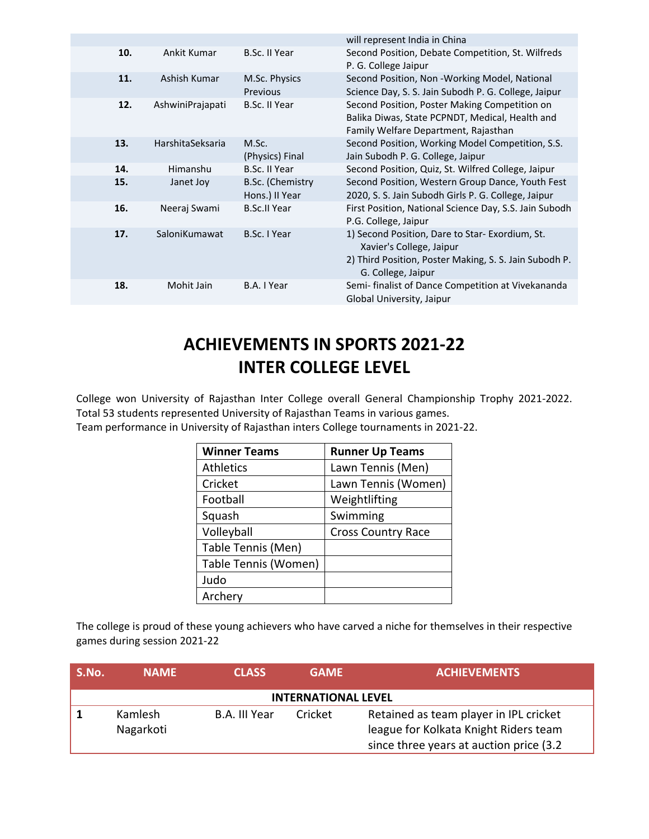|     |                  |                                    | will represent India in China                                                                                                                               |
|-----|------------------|------------------------------------|-------------------------------------------------------------------------------------------------------------------------------------------------------------|
| 10. | Ankit Kumar      | B.Sc. II Year                      | Second Position, Debate Competition, St. Wilfreds<br>P. G. College Jaipur                                                                                   |
| 11. | Ashish Kumar     | M.Sc. Physics<br>Previous          | Second Position, Non -Working Model, National<br>Science Day, S. S. Jain Subodh P. G. College, Jaipur                                                       |
| 12. | AshwiniPrajapati | <b>B.Sc. II Year</b>               | Second Position, Poster Making Competition on<br>Balika Diwas, State PCPNDT, Medical, Health and<br>Family Welfare Department, Rajasthan                    |
| 13. | HarshitaSeksaria | M.Sc.<br>(Physics) Final           | Second Position, Working Model Competition, S.S.<br>Jain Subodh P. G. College, Jaipur                                                                       |
| 14. | Himanshu         | <b>B.Sc. II Year</b>               | Second Position, Quiz, St. Wilfred College, Jaipur                                                                                                          |
| 15. | Janet Joy        | B.Sc. (Chemistry<br>Hons.) II Year | Second Position, Western Group Dance, Youth Fest<br>2020, S. S. Jain Subodh Girls P. G. College, Jaipur                                                     |
| 16. | Neeraj Swami     | <b>B.Sc.II Year</b>                | First Position, National Science Day, S.S. Jain Subodh<br>P.G. College, Jaipur                                                                              |
| 17. | SaloniKumawat    | B.Sc. I Year                       | 1) Second Position, Dare to Star- Exordium, St.<br>Xavier's College, Jaipur<br>2) Third Position, Poster Making, S. S. Jain Subodh P.<br>G. College, Jaipur |
| 18. | Mohit Jain       | B.A. I Year                        | Semi- finalist of Dance Competition at Vivekananda<br>Global University, Jaipur                                                                             |

## **ACHIEVEMENTS IN SPORTS 2021-22 INTER COLLEGE LEVEL**

College won University of Rajasthan Inter College overall General Championship Trophy 2021-2022. Total 53 students represented University of Rajasthan Teams in various games.

Team performance in University of Rajasthan inters College tournaments in 2021-22.

| <b>Winner Teams</b>  | <b>Runner Up Teams</b>    |
|----------------------|---------------------------|
| <b>Athletics</b>     | Lawn Tennis (Men)         |
| Cricket              | Lawn Tennis (Women)       |
| Football             | Weightlifting             |
| Squash               | Swimming                  |
| Volleyball           | <b>Cross Country Race</b> |
| Table Tennis (Men)   |                           |
| Table Tennis (Women) |                           |
| Judo                 |                           |
| Archery              |                           |

The college is proud of these young achievers who have carved a niche for themselves in their respective games during session 2021-22

| S.No.                      | <b>NAMF</b>          | <b>CLASS</b>  | <b>GAME</b> | <b>ACHIEVEMENTS</b>                                                                                                         |  |
|----------------------------|----------------------|---------------|-------------|-----------------------------------------------------------------------------------------------------------------------------|--|
| <b>INTERNATIONAL LEVEL</b> |                      |               |             |                                                                                                                             |  |
|                            | Kamlesh<br>Nagarkoti | B.A. III Year | Cricket     | Retained as team player in IPL cricket<br>league for Kolkata Knight Riders team<br>since three years at auction price (3.2) |  |